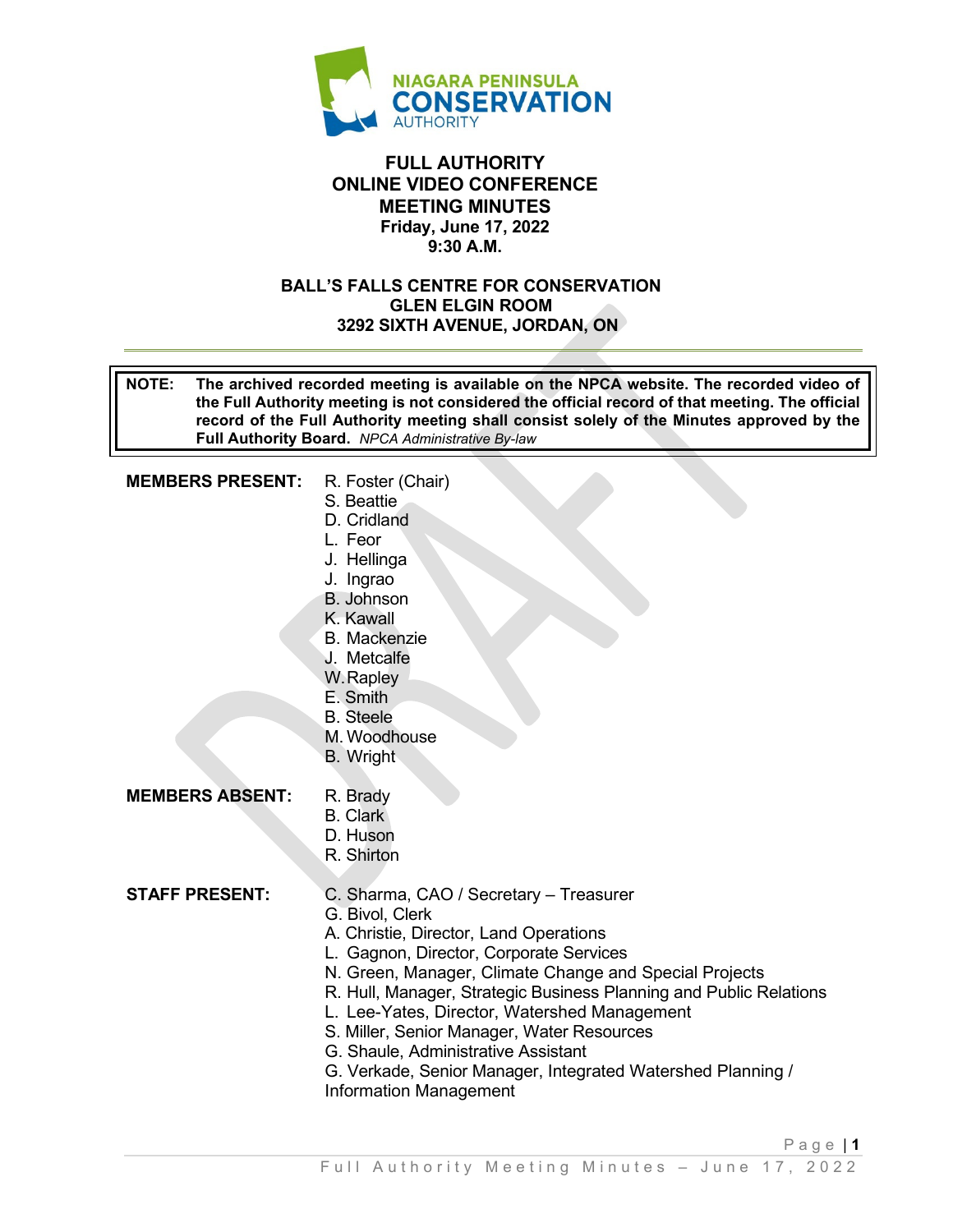

### **FULL AUTHORITY ONLINE VIDEO CONFERENCE MEETING MINUTES Friday, June 17, 2022 9:30 A.M.**

#### **BALL'S FALLS CENTRE FOR CONSERVATION GLEN ELGIN ROOM 3292 SIXTH AVENUE, JORDAN, ON**

**NOTE: The archived recorded meeting is available on the NPCA website. The recorded video of the Full Authority meeting is not considered the official record of that meeting. The official record of the Full Authority meeting shall consist solely of the Minutes approved by the Full Authority Board.** *NPCA Administrative By-law* 

#### **MEMBERS PRESENT:** R. Foster (Chair)

- S. Beattie
- D. Cridland
- L. Feor
- J. Hellinga
- J. Ingrao
- B. Johnson
- K. Kawall
- B. Mackenzie
- J. Metcalfe
- W. Rapley
- E. Smith
- B. Steele
- M. Woodhouse
- B. Wright

#### **MEMBERS ABSENT:** R. Brady

- B. Clark
- D. Huson
- R. Shirton

#### **STAFF PRESENT:** C. Sharma, CAO / Secretary – Treasurer

- G. Bivol, Clerk
- 
- A. Christie, Director, Land Operations
- L. Gagnon, Director, Corporate Services N. Green, Manager, Climate Change and Special Projects
- 
- R. Hull, Manager, Strategic Business Planning and Public Relations
- L. Lee-Yates, Director, Watershed Management
- S. Miller, Senior Manager, Water Resources
- G. Shaule, Administrative Assistant
- G. Verkade, Senior Manager, Integrated Watershed Planning / Information Management

Page | **1**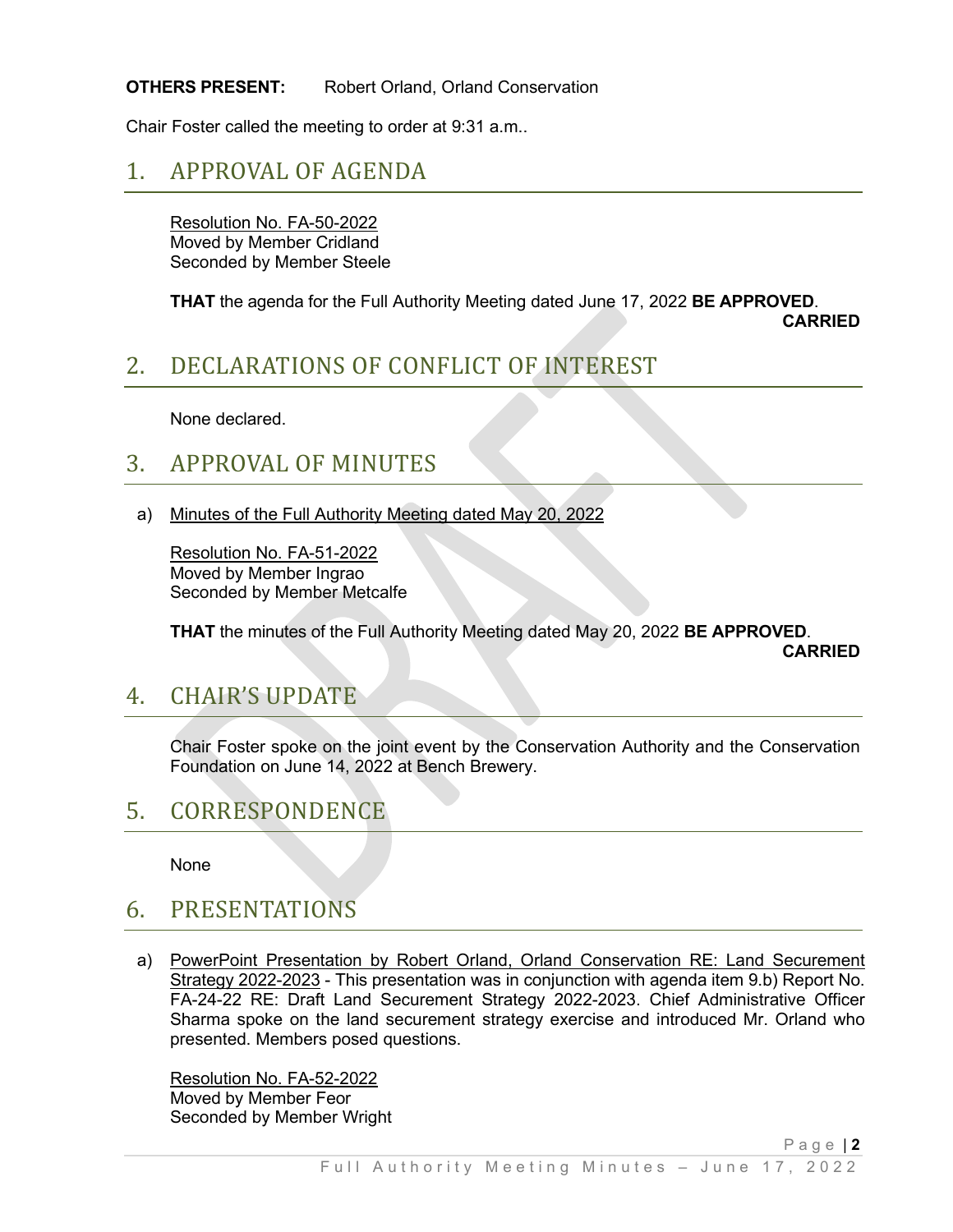### **OTHERS PRESENT:** Robert Orland, Orland Conservation

Chair Foster called the meeting to order at 9:31 a.m..

### 1. APPROVAL OF AGENDA

Resolution No. FA-50-2022 Moved by Member Cridland Seconded by Member Steele

**THAT** the agenda for the Full Authority Meeting dated June 17, 2022 **BE APPROVED**.

 **CARRIED**

# 2. DECLARATIONS OF CONFLICT OF INTEREST

None declared.

## 3. APPROVAL OF MINUTES

a) Minutes of the Full Authority Meeting dated May 20, 2022

Resolution No. FA-51-2022 Moved by Member Ingrao Seconded by Member Metcalfe

**THAT** the minutes of the Full Authority Meeting dated May 20, 2022 **BE APPROVED**.

 **CARRIED**

### 4. CHAIR'S UPDATE

Chair Foster spoke on the joint event by the Conservation Authority and the Conservation Foundation on June 14, 2022 at Bench Brewery.

### 5. CORRESPONDENCE

None

### 6. PRESENTATIONS

a) PowerPoint Presentation by Robert Orland, Orland Conservation RE: Land Securement Strategy 2022-2023 - This presentation was in conjunction with agenda item 9.b) Report No. FA-24-22 RE: Draft Land Securement Strategy 2022-2023. Chief Administrative Officer Sharma spoke on the land securement strategy exercise and introduced Mr. Orland who presented. Members posed questions.

Resolution No. FA-52-2022 Moved by Member Feor Seconded by Member Wright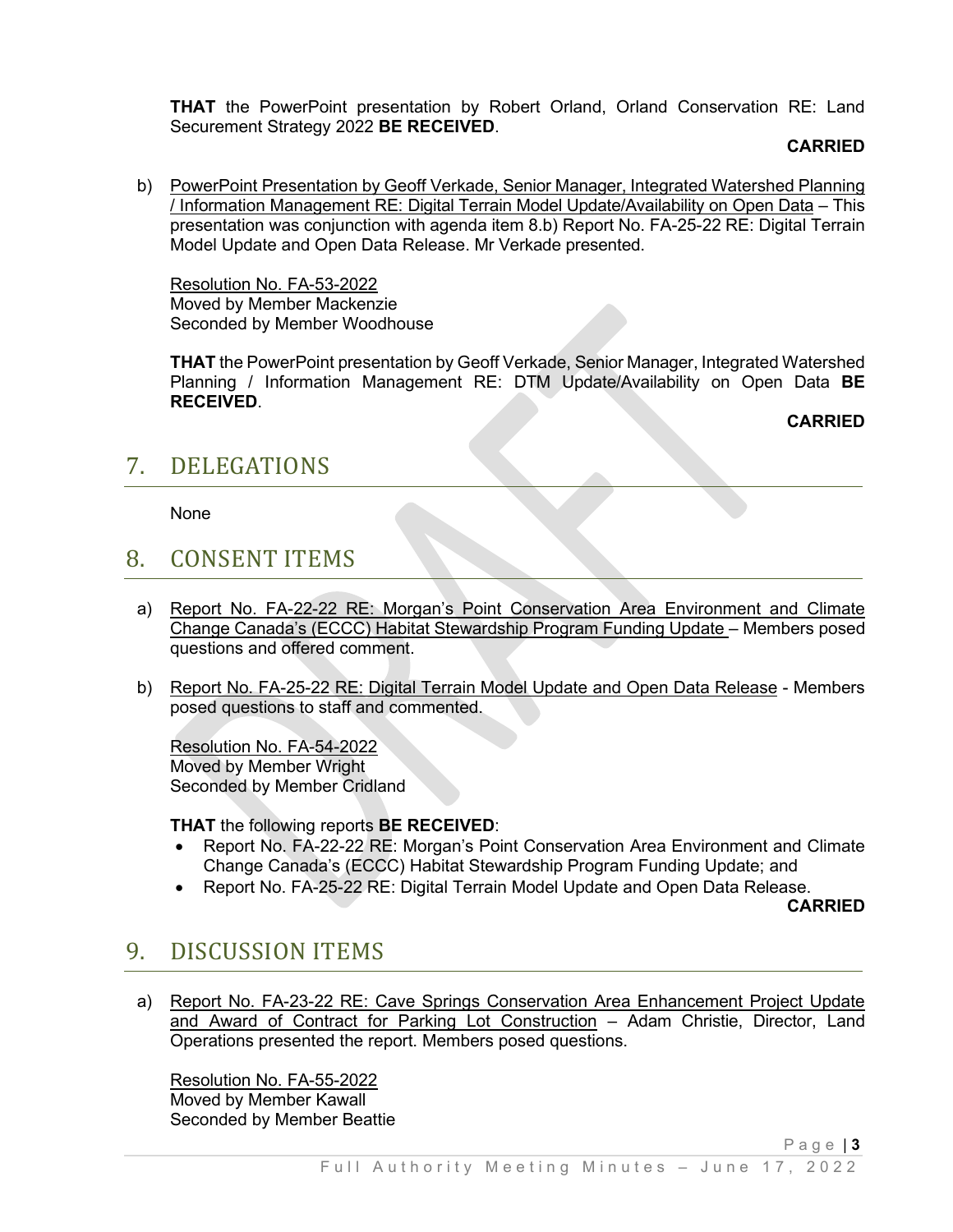**THAT** the PowerPoint presentation by Robert Orland, Orland Conservation RE: Land Securement Strategy 2022 **BE RECEIVED**.

#### **CARRIED**

b) PowerPoint Presentation by Geoff Verkade, Senior Manager, Integrated Watershed Planning / Information Management RE: Digital Terrain Model Update/Availability on Open Data – This presentation was conjunction with agenda item 8.b) Report No. FA-25-22 RE: Digital Terrain Model Update and Open Data Release. Mr Verkade presented.

Resolution No. FA-53-2022 Moved by Member Mackenzie Seconded by Member Woodhouse

**THAT** the PowerPoint presentation by Geoff Verkade, Senior Manager, Integrated Watershed Planning / Information Management RE: DTM Update/Availability on Open Data **BE RECEIVED**.

**CARRIED**

## 7. DELEGATIONS

None

## 8. CONSENT ITEMS

- a) Report No. FA-22-22 RE: Morgan's Point Conservation Area Environment and Climate Change Canada's (ECCC) Habitat Stewardship Program Funding Update – Members posed questions and offered comment.
- b) Report No. FA-25-22 RE: Digital Terrain Model Update and Open Data Release Members posed questions to staff and commented.

Resolution No. FA-54-2022 Moved by Member Wright Seconded by Member Cridland

**THAT** the following reports **BE RECEIVED**:

- Report No. FA-22-22 RE: Morgan's Point Conservation Area Environment and Climate Change Canada's (ECCC) Habitat Stewardship Program Funding Update; and
- Report No. FA-25-22 RE: Digital Terrain Model Update and Open Data Release.

**CARRIED**

# 9. DISCUSSION ITEMS

a) Report No. FA-23-22 RE: Cave Springs Conservation Area Enhancement Project Update and Award of Contract for Parking Lot Construction – Adam Christie, Director, Land Operations presented the report. Members posed questions.

Resolution No. FA-55-2022 Moved by Member Kawall Seconded by Member Beattie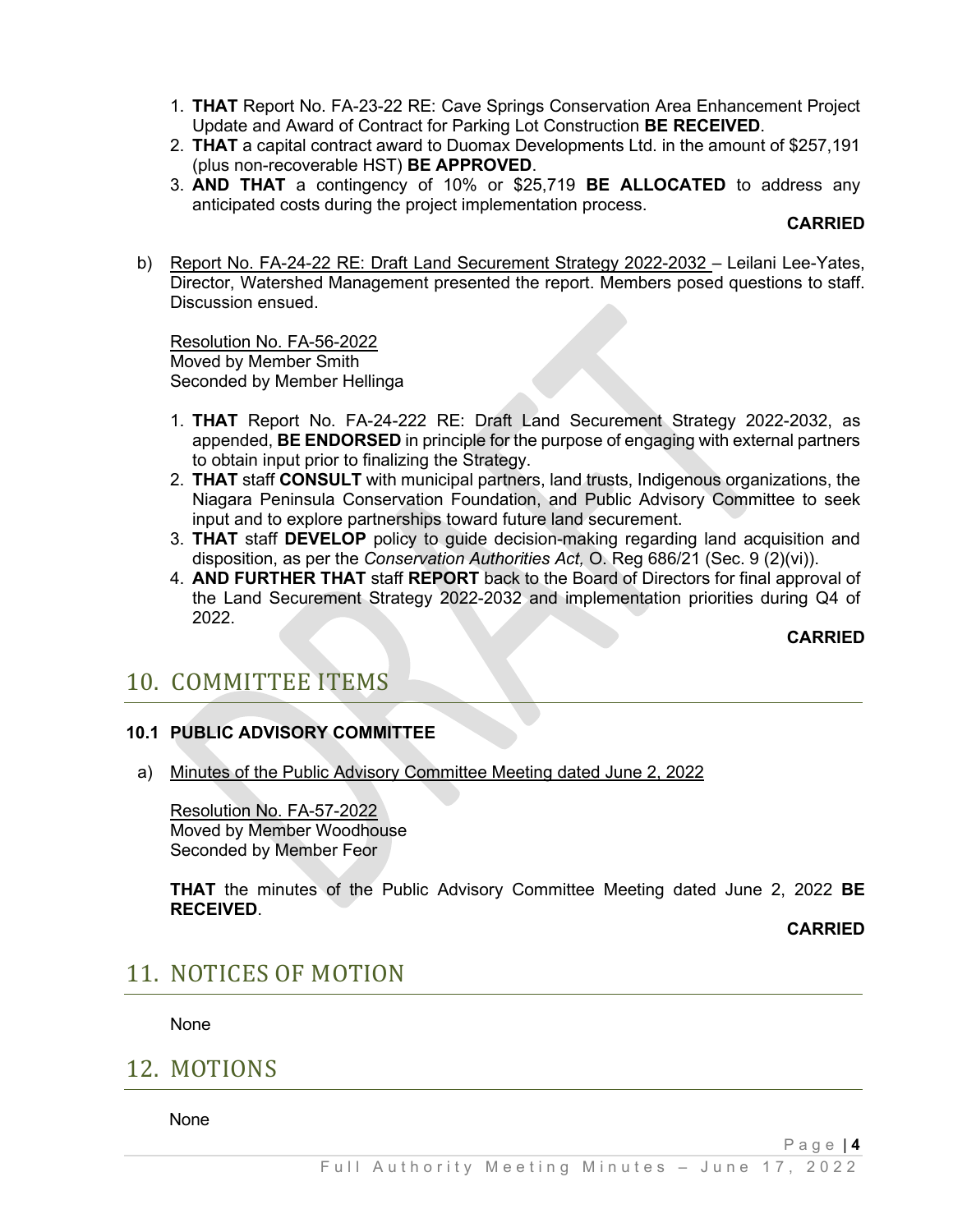- 1. **THAT** Report No. FA-23-22 RE: Cave Springs Conservation Area Enhancement Project Update and Award of Contract for Parking Lot Construction **BE RECEIVED**.
- 2. **THAT** a capital contract award to Duomax Developments Ltd. in the amount of \$257,191 (plus non-recoverable HST) **BE APPROVED**.
- 3. **AND THAT** a contingency of 10% or \$25,719 **BE ALLOCATED** to address any anticipated costs during the project implementation process.

#### **CARRIED**

b) Report No. FA-24-22 RE: Draft Land Securement Strategy 2022-2032 - Leilani Lee-Yates, Director, Watershed Management presented the report. Members posed questions to staff. Discussion ensued.

Resolution No. FA-56-2022 Moved by Member Smith Seconded by Member Hellinga

- 1. **THAT** Report No. FA-24-222 RE: Draft Land Securement Strategy 2022-2032, as appended, **BE ENDORSED** in principle for the purpose of engaging with external partners to obtain input prior to finalizing the Strategy.
- 2. **THAT** staff **CONSULT** with municipal partners, land trusts, Indigenous organizations, the Niagara Peninsula Conservation Foundation, and Public Advisory Committee to seek input and to explore partnerships toward future land securement.
- 3. **THAT** staff **DEVELOP** policy to guide decision-making regarding land acquisition and disposition, as per the *Conservation Authorities Act,* O. Reg 686/21 (Sec. 9 (2)(vi)).
- 4. **AND FURTHER THAT** staff **REPORT** back to the Board of Directors for final approval of the Land Securement Strategy 2022-2032 and implementation priorities during Q4 of 2022.

#### **CARRIED**

# 10. COMMITTEE ITEMS

### **10.1 PUBLIC ADVISORY COMMITTEE**

a) Minutes of the Public Advisory Committee Meeting dated June 2, 2022

Resolution No. FA-57-2022 Moved by Member Woodhouse Seconded by Member Feor

**THAT** the minutes of the Public Advisory Committee Meeting dated June 2, 2022 **BE RECEIVED**.

**CARRIED**

### 11. NOTICES OF MOTION

None

### 12. MOTIONS

None